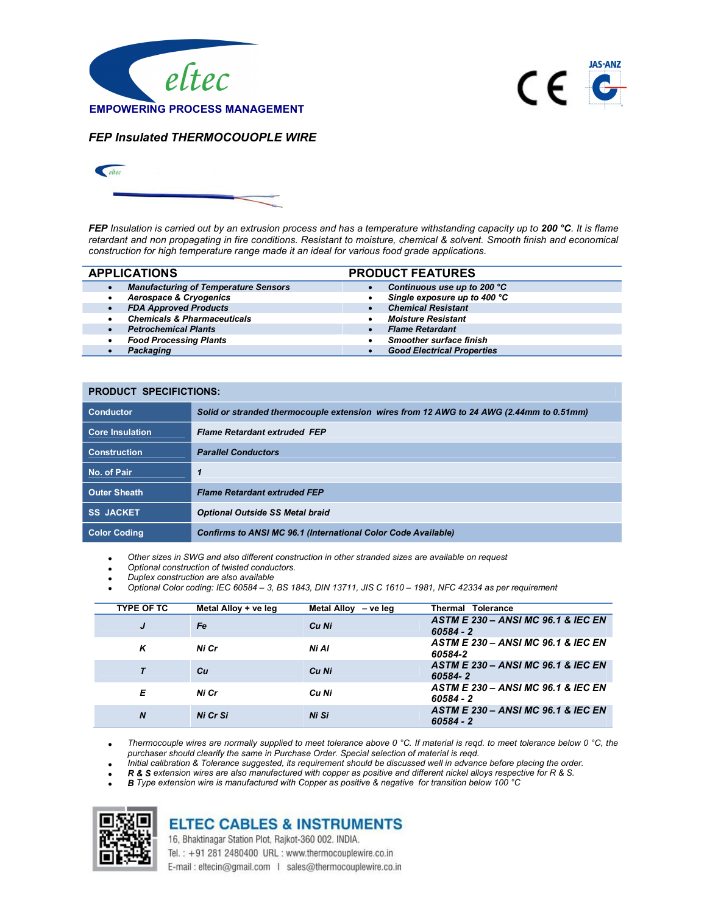



FEP Insulated THERMOCOUOPLE WIRE



FEP Insulation is carried out by an extrusion process and has a temperature withstanding capacity up to 200 °C. It is flame retardant and non propagating in fire conditions. Resistant to moisture, chemical & solvent. Smooth finish and economical construction for high temperature range made it an ideal for various food grade applications.

|           | <b>APPLICATIONS</b>                         |           | <b>PRODUCT FEATURES</b>           |
|-----------|---------------------------------------------|-----------|-----------------------------------|
| $\bullet$ | <b>Manufacturing of Temperature Sensors</b> |           | Continuous use up to 200 °C       |
|           | <b>Aerospace &amp; Cryogenics</b>           |           | Single exposure up to 400 °C      |
| $\bullet$ | <b>FDA Approved Products</b>                |           | <b>Chemical Resistant</b>         |
| $\bullet$ | <b>Chemicals &amp; Pharmaceuticals</b>      |           | <b>Moisture Resistant</b>         |
|           | <b>Petrochemical Plants</b>                 | $\bullet$ | <b>Flame Retardant</b>            |
| $\bullet$ | <b>Food Processing Plants</b>               |           | <b>Smoother surface finish</b>    |
|           | Packaging                                   |           | <b>Good Electrical Properties</b> |

| <b>PRODUCT SPECIFICTIONS:</b> |                                                                                         |
|-------------------------------|-----------------------------------------------------------------------------------------|
| <b>Conductor</b>              | Solid or stranded thermocouple extension wires from 12 AWG to 24 AWG (2.44mm to 0.51mm) |
| <b>Core Insulation</b>        | <b>Flame Retardant extruded FEP</b>                                                     |
| <b>Construction</b>           | <b>Parallel Conductors</b>                                                              |
| No. of Pair                   | 1                                                                                       |
| <b>Outer Sheath</b>           | <b>Flame Retardant extruded FEP</b>                                                     |
| <b>SS JACKET</b>              | <b>Optional Outside SS Metal braid</b>                                                  |
| <b>Color Coding</b>           | <b>Confirms to ANSI MC 96.1 (International Color Code Available)</b>                    |

Other sizes in SWG and also different construction in other stranded sizes are available on request

- Optional construction of twisted conductors.
- Duplex construction are also available
- Optional Color coding: IEC 60584 3, BS 1843, DIN 13711, JIS C 1610 1981, NFC 42334 as per requirement

| <b>TYPE OF TC</b> | Metal Alloy + ve leg | Metal Alloy - ve leg | Thermal Tolerance                                            |
|-------------------|----------------------|----------------------|--------------------------------------------------------------|
| J                 | Fe                   | Cu Ni                | <b>ASTM E 230 - ANSI MC 96.1 &amp; IEC EN</b><br>$60584 - 2$ |
| ĸ                 | Ni Cr                | Ni Al                | <b>ASTM E 230 - ANSI MC 96.1 &amp; IEC EN</b><br>60584-2     |
|                   | Cн                   | Cu Ni                | ASTM E 230 - ANSI MC 96.1 & IEC EN<br>60584-2                |
| Е                 | Ni Cr                | Cu Ni                | <b>ASTM E 230 - ANSI MC 96.1 &amp; IEC EN</b><br>$60584 - 2$ |
| $\boldsymbol{N}$  | Ni Cr Si             | Ni Si                | ASTM E 230 - ANSI MC 96.1 & IEC EN<br>$60584 - 2$            |

Thermocouple wires are normally supplied to meet tolerance above 0 °C. If material is reqd. to meet tolerance below 0 °C, the purchaser should clearify the same in Purchase Order. Special selection of material is reqd.

Initial calibration & Tolerance suggested, its requirement should be discussed well in advance before placing the order.

R & S extension wires are also manufactured with copper as positive and different nickel alloys respective for R & S.

B Type extension wire is manufactured with Copper as positive & negative for transition below 100 °C



## **ELTEC CABLES & INSTRUMENTS**

16, Bhaktinagar Station Plot, Rajkot-360 002. INDIA. Tel.: +91 281 2480400 URL: www.thermocouplewire.co.in

E-mail: eltecin@gmail.com | sales@thermocouplewire.co.in